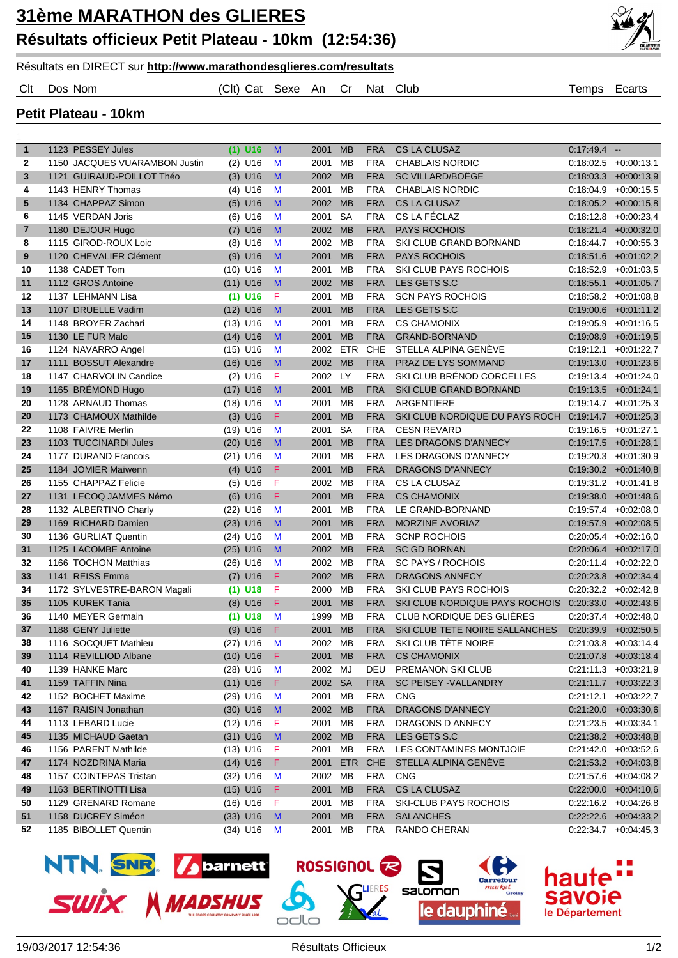

Résultats en DIRECT sur **http://www.marathondesglieres.com/resultats**

Clt Dos Nom (Clt) Cat Sexe An Cr Nat Club Temps Ecarts

**Petit Plateau - 10km**

| $\mathbf{1}$ | 1123 PESSEY Jules             |      | $(1)$ U16  | M  | 2001    | <b>MB</b>  | <b>FRA</b> | <b>CS LA CLUSAZ</b>            | $0.17.49.4 -$ |                         |
|--------------|-------------------------------|------|------------|----|---------|------------|------------|--------------------------------|---------------|-------------------------|
| 2            | 1150 JACQUES VUARAMBON Justin |      | $(2)$ U16  | M  | 2001    | MB         | <b>FRA</b> | <b>CHABLAIS NORDIC</b>         |               | $0:18.02.5 + 0.00:13.1$ |
| 3            | 1121 GUIRAUD-POILLOT Théo     |      | $(3)$ U16  | M  | 2002    | <b>MB</b>  | <b>FRA</b> | SC VILLARD/BOËGE               |               | $0:18.03.3 + 0:00:13.9$ |
| 4            | 1143 HENRY Thomas             |      | $(4)$ U16  | M  | 2001    | MB         | <b>FRA</b> | <b>CHABLAIS NORDIC</b>         |               | $0:18:04.9$ +0:00:15,5  |
| 5            | 1134 CHAPPAZ Simon            |      | $(5)$ U16  | M  | 2002    | <b>MB</b>  | <b>FRA</b> | <b>CS LA CLUSAZ</b>            |               | $0:18.05.2 + 0:00:15.8$ |
| 6            | 1145 VERDAN Joris             |      | $(6)$ U16  | M  | 2001    | <b>SA</b>  | <b>FRA</b> | CS LA FÉCLAZ                   |               | $0:18:12.8$ +0:00:23,4  |
| 7            | 1180 DEJOUR Hugo              | (7)  | U16        | M  | 2002    | <b>MB</b>  | <b>FRA</b> | <b>PAYS ROCHOIS</b>            |               | $0.18:21.4$ +0:00:32,0  |
| 8            | 1115 GIROD-ROUX Loic          |      | $(8)$ U16  | M  | 2002    | MB         | <b>FRA</b> | SKI CLUB GRAND BORNAND         |               | $0:18:44.7$ +0:00:55.3  |
| 9            | 1120 CHEVALIER Clément        |      | $(9)$ U16  | M  | 2001    | <b>MB</b>  | <b>FRA</b> | <b>PAYS ROCHOIS</b>            |               | $0:18:51.6$ +0:01:02,2  |
| 10           | 1138 CADET Tom                |      | $(10)$ U16 | M  | 2001    | MВ         | <b>FRA</b> | <b>SKI CLUB PAYS ROCHOIS</b>   |               | $0:18:52.9$ +0:01:03,5  |
| 11           | 1112 GROS Antoine             |      | $(11)$ U16 | M  | 2002    | MB         | <b>FRA</b> | LES GETS S.C                   |               | $0:18:55.1$ +0:01:05,7  |
| 12           | 1137 LEHMANN Lisa             |      | $(1)$ U16  | F  | 2001    | MВ         | <b>FRA</b> | <b>SCN PAYS ROCHOIS</b>        |               | $0:18:58.2 + 0:01:08.8$ |
| 13           | 1107 DRUELLE Vadim            |      | $(12)$ U16 | M  | 2001    | <b>MB</b>  | <b>FRA</b> | LES GETS S.C                   |               | $0:19:00.6$ +0:01:11,2  |
| 14           | 1148 BROYER Zachari           |      | $(13)$ U16 | M  | 2001    | MB         | <b>FRA</b> | <b>CS CHAMONIX</b>             |               | $0:19:05.9$ +0:01:16,5  |
| 15           | 1130 LE FUR Malo              |      | $(14)$ U16 | M  | 2001    | <b>MB</b>  | <b>FRA</b> | <b>GRAND-BORNAND</b>           |               | $0.19.08.9 + 0.01.19.5$ |
| 16           | 1124 NAVARRO Angel            |      | $(15)$ U16 | M  | 2002    | <b>ETR</b> | <b>CHE</b> | STELLA ALPINA GENÈVE           |               | $0:19:12.1$ +0:01:22,7  |
| 17           | 1111 BOSSUT Alexandre         |      | $(16)$ U16 | M  | 2002    | <b>MB</b>  | <b>FRA</b> | PRAZ DE LYS SOMMAND            |               | $0:19:13.0 +0:01:23,6$  |
| 18           | 1147 CHARVOLIN Candice        | (2)  | U16        | F  | 2002    | <b>LY</b>  | <b>FRA</b> | SKI CLUB BRÉNOD CORCELLES      |               | $0:19:13.4$ +0:01:24,0  |
| 19           | 1165 BRÉMOND Hugo             | (17) | U16        | M  | 2001    | <b>MB</b>  | <b>FRA</b> | SKI CLUB GRAND BORNAND         |               | $0:19:13.5 + 0:01:24,1$ |
| 20           | 1128 ARNAUD Thomas            |      | $(18)$ U16 | M  | 2001    | MB         | <b>FRA</b> | ARGENTIERE                     |               | $0:19:14.7$ +0:01:25,3  |
| 20           | 1173 CHAMOUX Mathilde         |      | $(3)$ U16  | F. | 2001    | <b>MB</b>  | <b>FRA</b> | SKI CLUB NORDIQUE DU PAYS ROCH |               | $0:19:14.7$ +0:01:25,3  |
| 22           | 1108 FAIVRE Merlin            |      | $(19)$ U16 | M  | 2001    | <b>SA</b>  | <b>FRA</b> | <b>CESN REVARD</b>             |               | $0:19:16.5$ +0:01:27,1  |
| 23           | 1103 TUCCINARDI Jules         |      | $(20)$ U16 | M  | 2001    | <b>MB</b>  | <b>FRA</b> | <b>LES DRAGONS D'ANNECY</b>    |               | $0:19:17.5$ +0:01:28,1  |
| 24           | 1177 DURAND Francois          |      | $(21)$ U16 | M  | 2001    | MB         | <b>FRA</b> | LES DRAGONS D'ANNECY           |               | $0:19:20.3$ +0:01:30,9  |
| 25           | 1184 JOMIER Maïwenn           |      | $(4)$ U16  | F  | 2001    | <b>MB</b>  | <b>FRA</b> | <b>DRAGONS D"ANNECY</b>        |               | $0:19:30.2$ +0:01:40,8  |
| 26           | 1155 CHAPPAZ Felicie          |      | $(5)$ U16  | F  | 2002    | MВ         | <b>FRA</b> | <b>CS LA CLUSAZ</b>            |               | $0:19:31.2$ +0:01:41,8  |
| 27           | 1131 LECOQ JAMMES Némo        |      | $(6)$ U16  | F  | 2001    | <b>MB</b>  | <b>FRA</b> | <b>CS CHAMONIX</b>             |               | $0:19:38.0 + 0:01:48.6$ |
| 28           | 1132 ALBERTINO Charly         |      | $(22)$ U16 | M  | 2001    | MB         | <b>FRA</b> | LE GRAND-BORNAND               |               | $0:19:57.4$ +0:02:08,0  |
| 29           | 1169 RICHARD Damien           |      | $(23)$ U16 | M  | 2001    | <b>MB</b>  | <b>FRA</b> | <b>MORZINE AVORIAZ</b>         |               | $0:19.57.9$ +0:02:08,5  |
| 30           | 1136 GURLIAT Quentin          |      | $(24)$ U16 | M  | 2001    | MВ         | <b>FRA</b> | <b>SCNP ROCHOIS</b>            |               | $0:20:05.4$ +0:02:16,0  |
| 31           | 1125 LACOMBE Antoine          |      | $(25)$ U16 | M  | 2002 MB |            | <b>FRA</b> | <b>SC GD BORNAN</b>            |               | $0:20.06.4$ +0:02:17,0  |
| 32           | 1166 TOCHON Matthias          |      | $(26)$ U16 | M  | 2002 MB |            | <b>FRA</b> | <b>SC PAYS / ROCHOIS</b>       |               | $0:20:11.4$ +0:02:22,0  |
| 33           | 1141 REISS Emma               |      | $(7)$ U16  | F  | 2002 MB |            | <b>FRA</b> | <b>DRAGONS ANNECY</b>          |               | $0:20:23.8$ +0:02:34,4  |
| 34           | 1172 SYLVESTRE-BARON Magali   |      | $(1)$ U18  | F  | 2000    | <b>MB</b>  | <b>FRA</b> | <b>SKI CLUB PAYS ROCHOIS</b>   |               | $0:20:32.2$ +0:02:42,8  |
| 35           | 1105 KUREK Tania              |      | $(8)$ U16  | F. | 2001    | <b>MB</b>  | <b>FRA</b> | SKI CLUB NORDIQUE PAYS ROCHOIS |               | $0.20:33.0 + 0.02:43.6$ |
| 36           | 1140 MEYER Germain            |      | $(1)$ U18  | M  | 1999    | MB         | <b>FRA</b> | CLUB NORDIQUE DES GLIÈRES      |               | $0:20:37.4$ +0:02:48.0  |
| 37           | 1188 GENY Juliette            |      | $(9)$ U16  | F. | 2001    | <b>MB</b>  | <b>FRA</b> | SKI CLUB TETE NOIRE SALLANCHES |               | $0:20:39.9$ +0:02:50.5  |
| 38           | 1116 SOCQUET Mathieu          |      | (27) U16 M |    | 2002 MB |            | <b>FRA</b> | SKI CLUB TÊTE NOIRE            |               | $0.21:03.8$ +0:03:14,4  |
| 39           | 1114 REVILLIOD Albane         |      | $(10)$ U16 | F. | 2001 MB |            | <b>FRA</b> | <b>CS CHAMONIX</b>             |               | $0:21:07.8$ +0:03:18,4  |
| 40           | 1139 HANKE Marc               |      | $(28)$ U16 | M  | 2002 MJ |            | DEU        | PREMANON SKI CLUB              |               | $0:21:11.3$ +0:03:21,9  |
| 41           | 1159 TAFFIN Nina              |      | $(11)$ U16 | F. | 2002 SA |            | <b>FRA</b> | SC PEISEY - VALLANDRY          |               | $0:21:11.7$ +0:03:22,3  |
| 42           | 1152 BOCHET Maxime            |      | $(29)$ U16 | M  | 2001 MB |            | FRA        | <b>CNG</b>                     |               | $0:21:12.1$ +0:03:22,7  |
| 43           | 1167 RAISIN Jonathan          |      | $(30)$ U16 | M  | 2002 MB |            | <b>FRA</b> | <b>DRAGONS D'ANNECY</b>        |               | $0:21:20.0$ +0:03:30,6  |
| 44           | 1113 LEBARD Lucie             |      | $(12)$ U16 | F. | 2001 MB |            | <b>FRA</b> | DRAGONS D ANNECY               |               | $0:21:23.5$ +0:03:34,1  |
| 45           | 1135 MICHAUD Gaetan           |      | $(31)$ U16 | M  | 2002 MB |            | <b>FRA</b> | LES GETS S.C                   |               | $0:21:38.2$ +0:03:48,8  |
| 46           | 1156 PARENT Mathilde          |      | $(13)$ U16 | F. | 2001 MB |            | FRA        | LES CONTAMINES MONTJOIE        |               | $0:21:42.0$ +0:03:52,6  |
| 47           | 1174 NOZDRINA Maria           |      | $(14)$ U16 | F. | 2001    | <b>ETR</b> | <b>CHE</b> | STELLA ALPINA GENEVE           |               | $0:21:53.2$ +0:04:03,8  |
| 48           | 1157 COINTEPAS Tristan        |      | $(32)$ U16 | M  | 2002 MB |            | <b>FRA</b> | <b>CNG</b>                     |               | $0:21:57.6$ +0:04:08,2  |
| 49           | 1163 BERTINOTTI Lisa          |      | $(15)$ U16 | F. | 2001 MB |            | <b>FRA</b> | CS LA CLUSAZ                   |               | $0:22:00.0$ +0:04:10,6  |
| 50           | 1129 GRENARD Romane           |      | $(16)$ U16 | F  | 2001 MB |            | <b>FRA</b> | SKI-CLUB PAYS ROCHOIS          |               | $0:22:16.2$ +0:04:26,8  |
| 51           | 1158 DUCREY Siméon            |      | $(33)$ U16 | M  | 2001 MB |            | <b>FRA</b> | <b>SALANCHES</b>               |               | $0.22.22.6$ +0.04.33,2  |
| 52           | 1185 BIBOLLET Quentin         |      | $(34)$ U16 | M  | 2001 MB |            | FRA        | RANDO CHERAN                   |               | $0:22:34.7$ +0:04:45,3  |